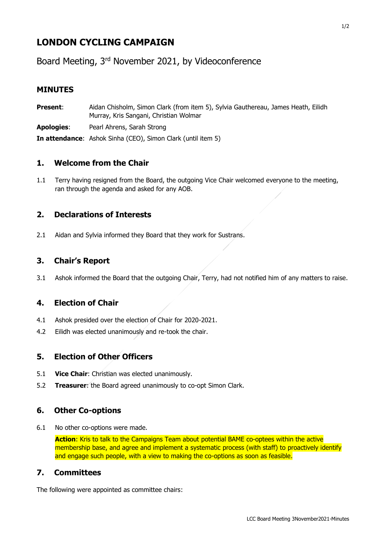# **LONDON CYCLING CAMPAIGN**

Board Meeting, 3rd November 2021, by Videoconference

### **MINUTES**

| <b>Present:</b> | Aidan Chisholm, Simon Clark (from item 5), Sylvia Gauthereau, James Heath, Eilidh<br>Murray, Kris Sangani, Christian Wolmar |
|-----------------|-----------------------------------------------------------------------------------------------------------------------------|
| Apologies:      | Pearl Ahrens, Sarah Strong                                                                                                  |
|                 | <b>In attendance:</b> Ashok Sinha (CEO), Simon Clark (until item 5)                                                         |

# **1. Welcome from the Chair**

1.1 Terry having resigned from the Board, the outgoing Vice Chair welcomed everyone to the meeting, ran through the agenda and asked for any AOB.

## **2. Declarations of Interests**

2.1 Aidan and Sylvia informed they Board that they work for Sustrans.

## **3. Chair's Report**

3.1 Ashok informed the Board that the outgoing Chair, Terry, had not notified him of any matters to raise.

# **4. Election of Chair**

- 4.1 Ashok presided over the election of Chair for 2020-2021.
- 4.2 Eilidh was elected unanimously and re-took the chair.

# **5. Election of Other Officers**

- 5.1 **Vice Chair**: Christian was elected unanimously.
- 5.2 **Treasurer**: the Board agreed unanimously to co-opt Simon Clark.

#### **6. Other Co-options**

6.1 No other co-options were made.

**Action**: Kris to talk to the Campaigns Team about potential BAME co-optees within the active membership base, and agree and implement a systematic process (with staff) to proactively identify and engage such people, with a view to making the co-options as soon as feasible.

#### **7. Committees**

The following were appointed as committee chairs: